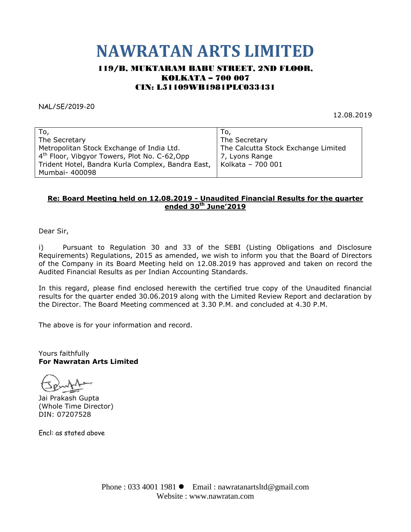# **NAWRATAN ARTS LIMITED**

## 119/B, MUKTARAM BABU STREET, 2ND FLOOR, KOLKATA – 700 007 CIN: L51109WB1981PLC033431

NAL/SE/2019-20

12.08.2019

| To,                                                       |                                     |
|-----------------------------------------------------------|-------------------------------------|
| The Secretary                                             | The Secretary                       |
| Metropolitan Stock Exchange of India Ltd.                 | The Calcutta Stock Exchange Limited |
| 4 <sup>th</sup> Floor, Vibgyor Towers, Plot No. C-62, Opp | 7, Lyons Range                      |
| Trident Hotel, Bandra Kurla Complex, Bandra East,         | Kolkata - 700 001                   |
| Mumbai- 400098                                            |                                     |

### **Re: Board Meeting held on 12.08.2019 - Unaudited Financial Results for the quarter ended 30th June'2019**

Dear Sir,

i) Pursuant to Regulation 30 and 33 of the SEBI (Listing Obligations and Disclosure Requirements) Regulations, 2015 as amended, we wish to inform you that the Board of Directors of the Company in its Board Meeting held on 12.08.2019 has approved and taken on record the Audited Financial Results as per Indian Accounting Standards.

In this regard, please find enclosed herewith the certified true copy of the Unaudited financial results for the quarter ended 30.06.2019 along with the Limited Review Report and declaration by the Director. The Board Meeting commenced at 3.30 P.M. and concluded at 4.30 P.M.

The above is for your information and record.

Yours faithfully **For Nawratan Arts Limited**

Jai Prakash Gupta (Whole Time Director) DIN: 07207528

Encl: as stated above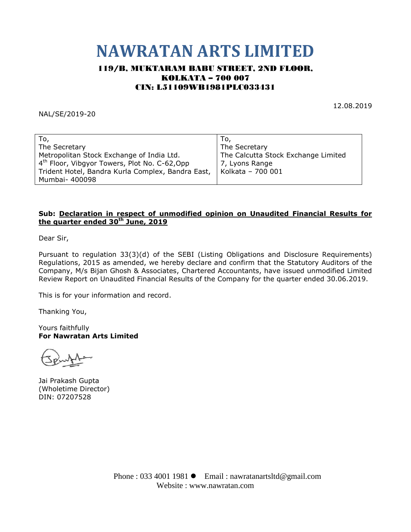# **NAWRATAN ARTS LIMITED**

## 119/B, MUKTARAM BABU STREET, 2ND FLOOR, KOLKATA – 700 007 CIN: L51109WB1981PLC033431

NAL/SE/2019-20

12.08.2019

| To,                                                       | To,                                 |
|-----------------------------------------------------------|-------------------------------------|
| The Secretary                                             | The Secretary                       |
| Metropolitan Stock Exchange of India Ltd.                 | The Calcutta Stock Exchange Limited |
| 4 <sup>th</sup> Floor, Vibgyor Towers, Plot No. C-62, Opp | 7, Lyons Range                      |
| Trident Hotel, Bandra Kurla Complex, Bandra East,         | Kolkata - 700 001                   |
| Mumbai- 400098                                            |                                     |

#### **Sub: Declaration in respect of unmodified opinion on Unaudited Financial Results for the quarter ended 30 th June, 2019**

Dear Sir,

Pursuant to regulation 33(3)(d) of the SEBI (Listing Obligations and Disclosure Requirements) Regulations, 2015 as amended, we hereby declare and confirm that the Statutory Auditors of the Company, M/s Bijan Ghosh & Associates, Chartered Accountants, have issued unmodified Limited Review Report on Unaudited Financial Results of the Company for the quarter ended 30.06.2019.

This is for your information and record.

Thanking You,

Yours faithfully **For Nawratan Arts Limited**

Jai Prakash Gupta (Wholetime Director) DIN: 07207528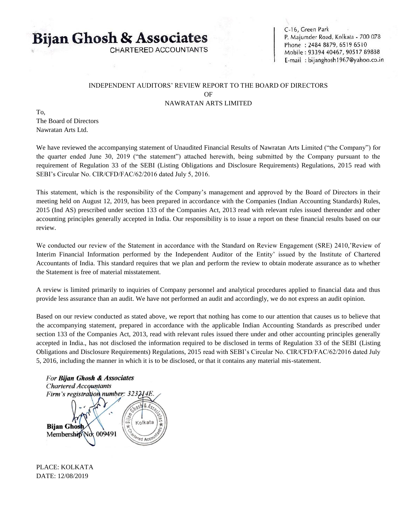# **Bijan Ghosh & Associates**

CHARTERED ACCOUNTANTS

C-16, Green Park P. Majumder Road, Kolkata - 700 078 Phone: 2484 8879, 6519 6510 Mobile: 93394 40467, 90517 89888 E-mail: bijanghosh1967@yahoo.co.in

#### INDEPENDENT AUDITORS' REVIEW REPORT TO THE BOARD OF DIRECTORS OF NAWRATAN ARTS LIMITED

To,

The Board of Directors Nawratan Arts Ltd.

We have reviewed the accompanying statement of Unaudited Financial Results of Nawratan Arts Limited ("the Company") for the quarter ended June 30, 2019 ("the statement") attached herewith, being submitted by the Company pursuant to the requirement of Regulation 33 of the SEBI (Listing Obligations and Disclosure Requirements) Regulations, 2015 read with SEBI's Circular No. CIR/CFD/FAC/62/2016 dated July 5, 2016.

This statement, which is the responsibility of the Company's management and approved by the Board of Directors in their meeting held on August 12, 2019, has been prepared in accordance with the Companies (Indian Accounting Standards) Rules, 2015 (Ind AS) prescribed under section 133 of the Companies Act, 2013 read with relevant rules issued thereunder and other accounting principles generally accepted in India. Our responsibility is to issue a report on these financial results based on our review.

We conducted our review of the Statement in accordance with the Standard on Review Engagement (SRE) 2410,'Review of Interim Financial Information performed by the Independent Auditor of the Entity' issued by the Institute of Chartered Accountants of India. This standard requires that we plan and perform the review to obtain moderate assurance as to whether the Statement is free of material misstatement.

A review is limited primarily to inquiries of Company personnel and analytical procedures applied to financial data and thus provide less assurance than an audit. We have not performed an audit and accordingly, we do not express an audit opinion.

Based on our review conducted as stated above, we report that nothing has come to our attention that causes us to believe that the accompanying statement, prepared in accordance with the applicable Indian Accounting Standards as prescribed under section 133 of the Companies Act, 2013, read with relevant rules issued there under and other accounting principles generally accepted in India., has not disclosed the information required to be disclosed in terms of Regulation 33 of the SEBI (Listing Obligations and Disclosure Requirements) Regulations, 2015 read with SEBI's Circular No. CIR/CFD/FAC/62/2016 dated July 5, 2016, including the manner in which it is to be disclosed, or that it contains any material mis-statement.



PLACE: KOLKATA DATE: 12/08/2019